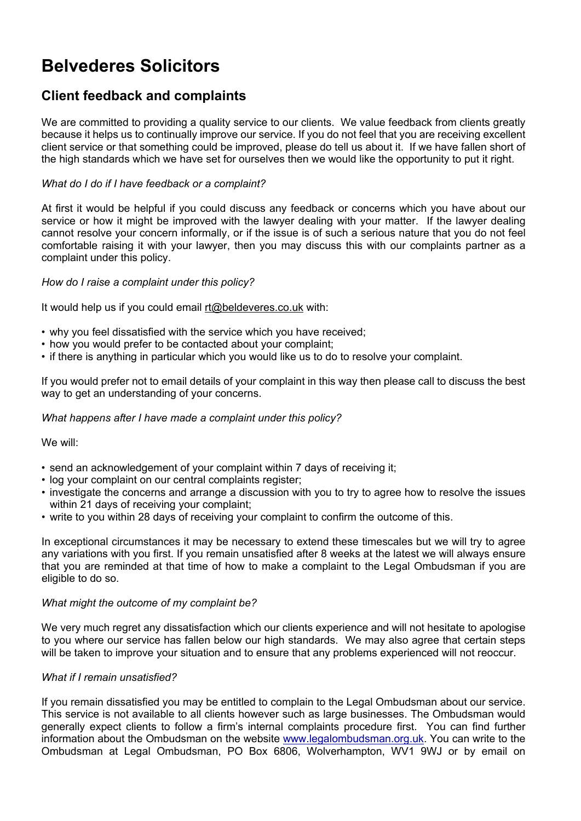# **Belvederes Solicitors**

## **Client feedback and complaints**

We are committed to providing a quality service to our clients. We value feedback from clients greatly because it helps us to continually improve our service. If you do not feel that you are receiving excellent client service or that something could be improved, please do tell us about it. If we have fallen short of the high standards which we have set for ourselves then we would like the opportunity to put it right.

### *What do I do if I have feedback or a complaint?*

At first it would be helpful if you could discuss any feedback or concerns which you have about our service or how it might be improved with the lawyer dealing with your matter. If the lawyer dealing cannot resolve your concern informally, or if the issue is of such a serious nature that you do not feel comfortable raising it with your lawyer, then you may discuss this with our complaints partner as a complaint under this policy.

#### *How do I raise a complaint under this policy?*

It would help us if you could email [rt@beldeveres.co.uk](mailto:di@beldeveres.co.uk) with:

- why you feel dissatisfied with the service which you have received;
- how you would prefer to be contacted about your complaint;
- if there is anything in particular which you would like us to do to resolve your complaint.

If you would prefer not to email details of your complaint in this way then please call to discuss the best way to get an understanding of your concerns.

#### *What happens after I have made a complaint under this policy?*

We will:

- send an acknowledgement of your complaint within 7 days of receiving it;
- log your complaint on our central complaints register;
- investigate the concerns and arrange a discussion with you to try to agree how to resolve the issues within 21 days of receiving your complaint;
- write to you within 28 days of receiving your complaint to confirm the outcome of this.

In exceptional circumstances it may be necessary to extend these timescales but we will try to agree any variations with you first. If you remain unsatisfied after 8 weeks at the latest we will always ensure that you are reminded at that time of how to make a complaint to the Legal Ombudsman if you are eligible to do so.

#### *What might the outcome of my complaint be?*

We very much regret any dissatisfaction which our clients experience and will not hesitate to apologise to you where our service has fallen below our high standards. We may also agree that certain steps will be taken to improve your situation and to ensure that any problems experienced will not reoccur.

#### *What if I remain unsatisfied?*

If you remain dissatisfied you may be entitled to complain to the Legal Ombudsman about our service. This service is not available to all clients however such as large businesses. The Ombudsman would generally expect clients to follow a firm's internal complaints procedure first. You can find further information about the Ombudsman on the website [www.legalombudsman.org.uk.](http://www.legalombudsman.org.uk/) You can write to the Ombudsman at Legal Ombudsman, PO Box 6806, Wolverhampton, WV1 9WJ or by email on